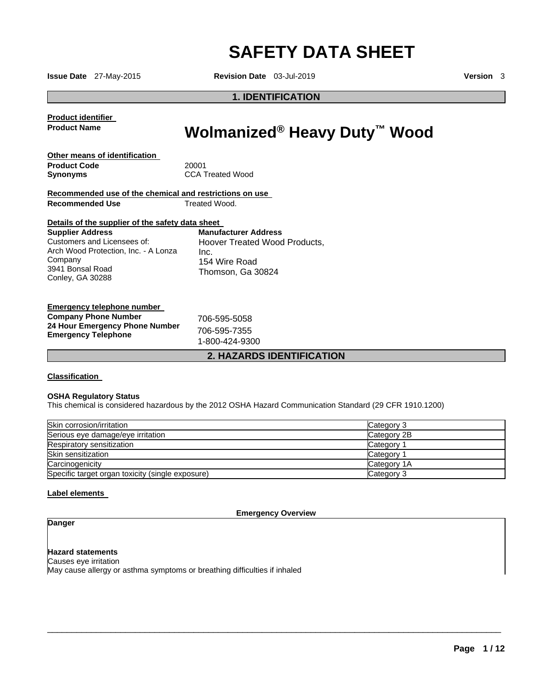# **SAFETY DATA SHEET**

**Issue Date** 27-May-2015 **Revision Date** 03-Jul-2019 **Version** 3

**1. IDENTIFICATION**

**Product identifier Product Name** 

# **Wolmanized® Heavy Duty™ Wood**

| Other means of identification |                         |
|-------------------------------|-------------------------|
| <b>Product Code</b>           | 20001                   |
| Synonyms                      | <b>CCA Treated Wood</b> |

|                        | Recommended use of the chemical and restrictions on use |
|------------------------|---------------------------------------------------------|
| <b>Recommended Use</b> | Treated Wood.                                           |

#### **Details of the supplier of the safety data sheet**

**Supplier Address** Customers and Licensees of: Arch Wood Protection, Inc. - A Lonza Company 3941 Bonsal Road Conley, GA 30288 **Manufacturer Address** Hoover Treated Wood Products, Inc. 154 Wire Road Thomson, Ga 30824

| Emergency telephone number                                   |                                |
|--------------------------------------------------------------|--------------------------------|
| <b>Company Phone Number</b>                                  | 706-595-5058                   |
| 24 Hour Emergency Phone Number<br><b>Emergency Telephone</b> | 706-595-7355<br>1-800-424-9300 |

#### **2. HAZARDS IDENTIFICATION**

#### **Classification**

#### **OSHA Regulatory Status**

This chemical is considered hazardous by the 2012 OSHA Hazard Communication Standard (29 CFR 1910.1200)

| Skin corrosion/irritation                        | Category 3            |
|--------------------------------------------------|-----------------------|
| Serious eye damage/eye irritation                | Category 2B           |
| Respiratory sensitization                        | Category <sup>2</sup> |
| Skin sensitization                               | Category <sup>2</sup> |
| Carcinogenicity                                  | Category 1A           |
| Specific target organ toxicity (single exposure) | Category 3            |

#### **Label elements**

**Emergency Overview** 

 $\overline{\phantom{a}}$  , and the set of the set of the set of the set of the set of the set of the set of the set of the set of the set of the set of the set of the set of the set of the set of the set of the set of the set of the s

#### **Danger**

**Hazard statements** Causes eye irritation May cause allergy or asthma symptoms or breathing difficulties if inhaled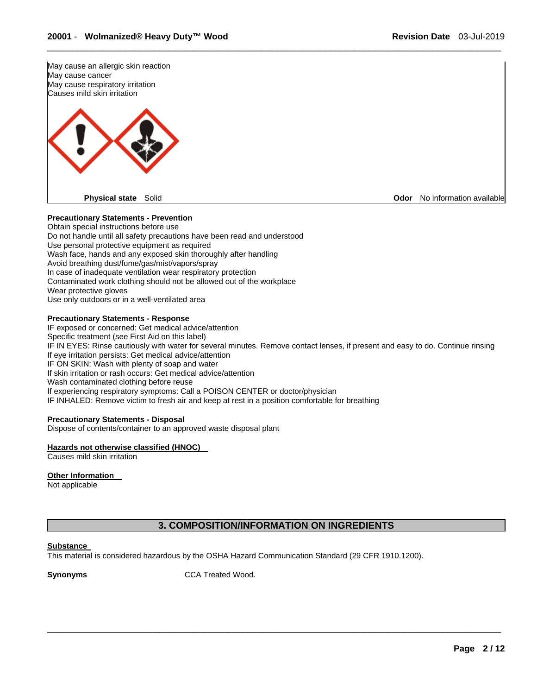

#### **Precautionary Statements - Prevention**

Obtain special instructions before use Do not handle until all safety precautions have been read and understood Use personal protective equipment as required Wash face, hands and any exposed skin thoroughly after handling Avoid breathing dust/fume/gas/mist/vapors/spray In case of inadequate ventilation wear respiratory protection Contaminated work clothing should not be allowed out of the workplace Wear protective gloves Use only outdoors or in a well-ventilated area

#### **Precautionary Statements - Response**

IF exposed or concerned: Get medical advice/attention Specific treatment (see First Aid on this label) IF IN EYES: Rinse cautiously with water for several minutes. Remove contact lenses, if present and easy to do. Continue rinsing If eye irritation persists: Get medical advice/attention IF ON SKIN: Wash with plenty of soap and water If skin irritation or rash occurs: Get medical advice/attention Wash contaminated clothing before reuse If experiencing respiratory symptoms: Call a POISON CENTER or doctor/physician IF INHALED: Remove victim to fresh air and keep at rest in a position comfortable for breathing

\_\_\_\_\_\_\_\_\_\_\_\_\_\_\_\_\_\_\_\_\_\_\_\_\_\_\_\_\_\_\_\_\_\_\_\_\_\_\_\_\_\_\_\_\_\_\_\_\_\_\_\_\_\_\_\_\_\_\_\_\_\_\_\_\_\_\_\_\_\_\_\_\_\_\_\_\_\_\_\_\_\_\_\_\_\_\_\_\_\_\_\_\_

#### **Precautionary Statements - Disposal**

Dispose of contents/container to an approved waste disposal plant

#### **Hazards not otherwise classified (HNOC)**

Causes mild skin irritation

#### **Other Information**

Not applicable

### **3. COMPOSITION/INFORMATION ON INGREDIENTS**

 $\overline{\phantom{a}}$  , and the set of the set of the set of the set of the set of the set of the set of the set of the set of the set of the set of the set of the set of the set of the set of the set of the set of the set of the s

#### **Substance**

This material is considered hazardous by the OSHA Hazard Communication Standard (29 CFR 1910.1200).

**Synonyms CCA Treated Wood.**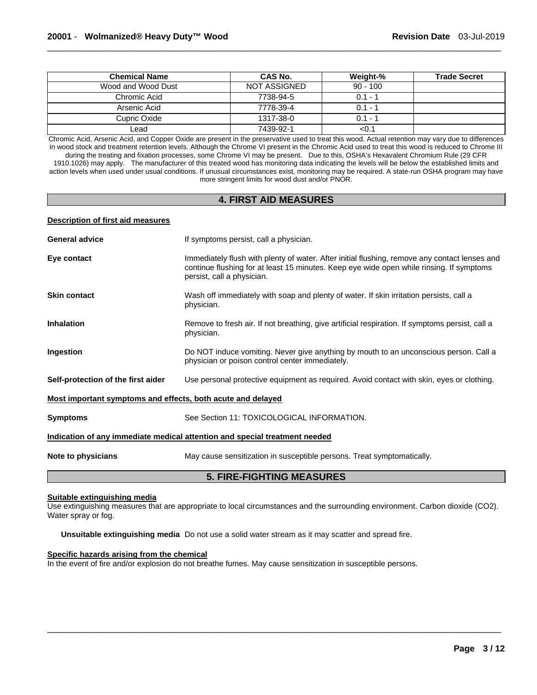| <b>Chemical Name</b> | CAS No.             | Weight-%   | <b>Trade Secret</b> |
|----------------------|---------------------|------------|---------------------|
| Wood and Wood Dust   | <b>NOT ASSIGNED</b> | $90 - 100$ |                     |
| Chromic Acid         | 7738-94-5           | $0.1 - 1$  |                     |
| Arsenic Acid         | 7778-39-4           | $0.1 - 1$  |                     |
| Cupric Oxide         | 1317-38-0           | $0.1 - 1$  |                     |
| Lead                 | 7439-92-1           | <0.1       |                     |

Chromic Acid, Arsenic Acid, and Copper Oxide are present in the preservative used to treat this wood. Actual retention may vary due to differences in wood stock and treatment retention levels. Although the Chrome VI present in the Chromic Acid used to treat this wood is reduced to Chrome III during the treating and fixation processes, some Chrome VI may be present. Due to this, OSHA's Hexavalent Chromium Rule (29 CFR 1910.1026) may apply. The manufacturer of this treated wood has monitoring data indicating the levels will be below the established limits and action levels when used under usual conditions. If unusual circumstances exist, monitoring may be required. A state-run OSHA program may have more stringent limits for wood dust and/or PNOR.

### **4. FIRST AID MEASURES**

#### **Description of first aid measures**

| <b>General advice</b>                                                      | If symptoms persist, call a physician.                                                                                                                                                                                  |  |  |  |
|----------------------------------------------------------------------------|-------------------------------------------------------------------------------------------------------------------------------------------------------------------------------------------------------------------------|--|--|--|
| Eye contact                                                                | Immediately flush with plenty of water. After initial flushing, remove any contact lenses and<br>continue flushing for at least 15 minutes. Keep eye wide open while rinsing. If symptoms<br>persist, call a physician. |  |  |  |
| <b>Skin contact</b>                                                        | Wash off immediately with soap and plenty of water. If skin irritation persists, call a<br>physician.                                                                                                                   |  |  |  |
| <b>Inhalation</b>                                                          | Remove to fresh air. If not breathing, give artificial respiration. If symptoms persist, call a<br>physician.                                                                                                           |  |  |  |
| Ingestion                                                                  | Do NOT induce vomiting. Never give anything by mouth to an unconscious person. Call a<br>physician or poison control center immediately.                                                                                |  |  |  |
| Self-protection of the first aider                                         | Use personal protective equipment as required. Avoid contact with skin, eyes or clothing.                                                                                                                               |  |  |  |
| Most important symptoms and effects, both acute and delayed                |                                                                                                                                                                                                                         |  |  |  |
| <b>Symptoms</b>                                                            | See Section 11: TOXICOLOGICAL INFORMATION.                                                                                                                                                                              |  |  |  |
| Indication of any immediate medical attention and special treatment needed |                                                                                                                                                                                                                         |  |  |  |
| Note to physicians                                                         | May cause sensitization in susceptible persons. Treat symptomatically.                                                                                                                                                  |  |  |  |
| <b>5. FIRE-FIGHTING MEASURES</b>                                           |                                                                                                                                                                                                                         |  |  |  |

#### **Suitable extinguishing media**

Use extinguishing measures that are appropriate to local circumstances and the surrounding environment. Carbon dioxide (CO2). Water spray or fog.

 $\overline{\phantom{a}}$  , and the set of the set of the set of the set of the set of the set of the set of the set of the set of the set of the set of the set of the set of the set of the set of the set of the set of the set of the s

**Unsuitable extinguishing media** Do not use a solid water stream as it may scatter and spread fire.

#### **Specific hazards arising from the chemical**

In the event of fire and/or explosion do not breathe fumes. May cause sensitization in susceptible persons.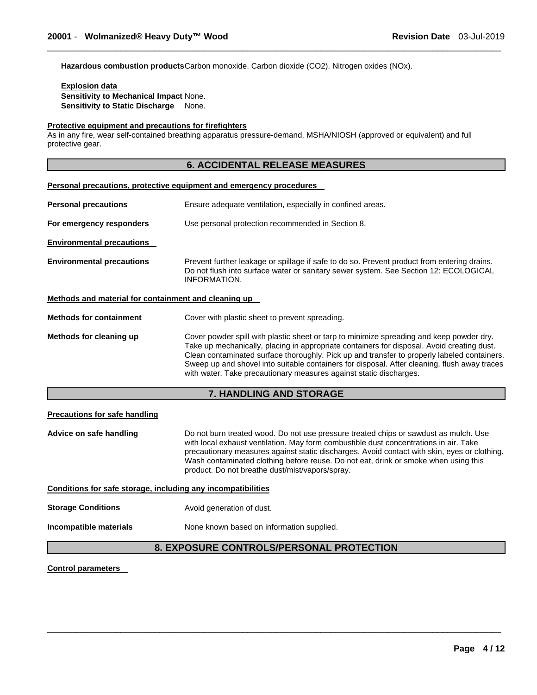**Hazardous combustion products** Carbon monoxide. Carbon dioxide (CO2). Nitrogen oxides (NOx).

**Explosion data Sensitivity to Mechanical Impact** None. **Sensitivity to Static Discharge** None.

#### **Protective equipment and precautions for firefighters**

As in any fire, wear self-contained breathing apparatus pressure-demand, MSHA/NIOSH (approved or equivalent) and full protective gear.

#### **6. ACCIDENTAL RELEASE MEASURES**

\_\_\_\_\_\_\_\_\_\_\_\_\_\_\_\_\_\_\_\_\_\_\_\_\_\_\_\_\_\_\_\_\_\_\_\_\_\_\_\_\_\_\_\_\_\_\_\_\_\_\_\_\_\_\_\_\_\_\_\_\_\_\_\_\_\_\_\_\_\_\_\_\_\_\_\_\_\_\_\_\_\_\_\_\_\_\_\_\_\_\_\_\_

|                                                      | <b>Personal precautions, protective equipment and emergency procedures</b>                                                                                                                                                                                                                                                                                                                                                                                  |  |  |
|------------------------------------------------------|-------------------------------------------------------------------------------------------------------------------------------------------------------------------------------------------------------------------------------------------------------------------------------------------------------------------------------------------------------------------------------------------------------------------------------------------------------------|--|--|
| <b>Personal precautions</b>                          | Ensure adequate ventilation, especially in confined areas.                                                                                                                                                                                                                                                                                                                                                                                                  |  |  |
| For emergency responders                             | Use personal protection recommended in Section 8.                                                                                                                                                                                                                                                                                                                                                                                                           |  |  |
| <b>Environmental precautions</b>                     |                                                                                                                                                                                                                                                                                                                                                                                                                                                             |  |  |
| <b>Environmental precautions</b>                     | Prevent further leakage or spillage if safe to do so. Prevent product from entering drains.<br>Do not flush into surface water or sanitary sewer system. See Section 12: ECOLOGICAL<br>INFORMATION.                                                                                                                                                                                                                                                         |  |  |
| Methods and material for containment and cleaning up |                                                                                                                                                                                                                                                                                                                                                                                                                                                             |  |  |
| <b>Methods for containment</b>                       | Cover with plastic sheet to prevent spreading.                                                                                                                                                                                                                                                                                                                                                                                                              |  |  |
| Methods for cleaning up                              | Cover powder spill with plastic sheet or tarp to minimize spreading and keep powder dry.<br>Take up mechanically, placing in appropriate containers for disposal. Avoid creating dust.<br>Clean contaminated surface thoroughly. Pick up and transfer to properly labeled containers.<br>Sweep up and shovel into suitable containers for disposal. After cleaning, flush away traces<br>with water. Take precautionary measures against static discharges. |  |  |

#### **7. HANDLING AND STORAGE**

#### **Precautions for safe handling**

**Advice on safe handling** Do not burn treated wood. Do not use pressure treated chips or sawdust as mulch. Use with local exhaust ventilation. May form combustible dust concentrations in air. Take precautionary measures against static discharges. Avoid contact with skin, eyes or clothing. Wash contaminated clothing before reuse. Do not eat, drink or smoke when using this product. Do not breathe dust/mist/vapors/spray.

#### **Conditions for safe storage, including any incompatibilities**

- **Storage Conditions Avoid generation of dust.**
- 

**Incompatible materials None known based on information supplied.** 

### **8. EXPOSURE CONTROLS/PERSONAL PROTECTION**

 $\overline{\phantom{a}}$  , and the set of the set of the set of the set of the set of the set of the set of the set of the set of the set of the set of the set of the set of the set of the set of the set of the set of the set of the s

#### **Control parameters**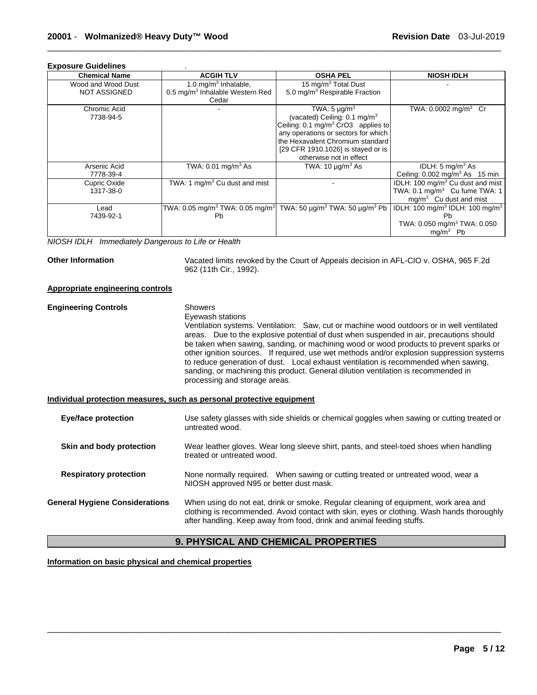| <b>Exposure Guidelines</b>                                    |                                                         |                                                                  |                                                         |
|---------------------------------------------------------------|---------------------------------------------------------|------------------------------------------------------------------|---------------------------------------------------------|
| <b>Chemical Name</b>                                          | <b>ACGIH TLV</b>                                        | <b>OSHA PEL</b>                                                  | <b>NIOSH IDLH</b>                                       |
| Wood and Wood Dust                                            | 1.0 mg/m <sup>3</sup> Inhalable,                        | 15 mg/m <sup>3</sup> Total Dust                                  |                                                         |
| <b>NOT ASSIGNED</b>                                           | 0.5 mg/m <sup>3</sup> Inhalable Western Red             | 5.0 mg/m <sup>3</sup> Respirable Fraction                        |                                                         |
|                                                               | Cedar                                                   |                                                                  |                                                         |
| Chromic Acid                                                  |                                                         | TWA: $5 \mu g/m^3$                                               | TWA: $0.0002$ mg/m <sup>3</sup> Cr                      |
| 7738-94-5                                                     |                                                         | (vacated) Ceiling: $0.1 \text{ mg/m}^3$                          |                                                         |
|                                                               |                                                         | Ceiling: 0.1 mg/m <sup>3</sup> CrO3 applies to                   |                                                         |
|                                                               |                                                         | any operations or sectors for which                              |                                                         |
|                                                               |                                                         | the Hexavalent Chromium standard                                 |                                                         |
|                                                               |                                                         | [29 CFR 1910.1026] is stayed or is                               |                                                         |
|                                                               |                                                         | otherwise not in effect                                          |                                                         |
| Arsenic Acid                                                  | TWA: $0.01$ mg/m <sup>3</sup> As                        | TWA: $10 \mu g/m^3$ As                                           | IDLH: $5 \text{ mg/m}^3$ As                             |
| 7778-39-4                                                     |                                                         |                                                                  | Ceiling: $0.002$ mg/m <sup>3</sup> As 15 min            |
| Cupric Oxide                                                  | TWA: 1 mg/m <sup>3</sup> Cu dust and mist               |                                                                  | IDLH: 100 mg/m <sup>3</sup> Cu dust and mist            |
| 1317-38-0                                                     |                                                         |                                                                  | TWA: 0.1 mg/m <sup>3</sup> Cu fume TWA: 1               |
|                                                               |                                                         |                                                                  | $mg/m3$ Cu dust and mist                                |
| Lead                                                          | TWA: 0.05 mg/m <sup>3</sup> TWA: 0.05 mg/m <sup>3</sup> | TWA: 50 $\mu$ g/m <sup>3</sup> TWA: 50 $\mu$ g/m <sup>3</sup> Pb | IDLH: 100 mg/m <sup>3</sup> IDLH: 100 mg/m <sup>3</sup> |
| 7439-92-1                                                     | <b>Pb</b>                                               |                                                                  | Pb                                                      |
|                                                               |                                                         |                                                                  | TWA: 0.050 mg/m <sup>3</sup> TWA: 0.050                 |
|                                                               |                                                         |                                                                  | $mg/m3$ Pb                                              |
| $\cdots$ $\sim$ $\cdots$ $\sim$ $\cdots$<br>$\cdots$ $\cdots$ | $\cdot$ $\cdot$ $\cdot$<br>.                            |                                                                  |                                                         |

*NIOSH IDLH Immediately Dangerous to Life or Health* 

**Other Information** Vacated limits revoked by the Court of Appeals decision in AFL-CIO v. OSHA, 965 F.2d 962 (11th Cir., 1992).

#### **Appropriate engineering controls**

#### **Engineering Controls** Showers Eyewash stations

Ventilation systems. Ventilation: Saw, cut or machine wood outdoors or in well ventilated areas. Due to the explosive potential of dust when suspended in air, precautions should be taken when sawing, sanding, or machining wood or wood products to prevent sparks or other ignition sources. If required, use wet methods and/or explosion suppression systems to reduce generation of dust. Local exhaust ventilation is recommended when sawing, sanding, or machining this product. General dilution ventilation is recommended in processing and storage areas.

#### **Individual protection measures, such as personal protective equipment**

| Eye/face protection                   | Use safety glasses with side shields or chemical goggles when sawing or cutting treated or<br>untreated wood.                                                                                                                                             |
|---------------------------------------|-----------------------------------------------------------------------------------------------------------------------------------------------------------------------------------------------------------------------------------------------------------|
| Skin and body protection              | Wear leather gloves. Wear long sleeve shirt, pants, and steel-toed shoes when handling<br>treated or untreated wood.                                                                                                                                      |
| <b>Respiratory protection</b>         | None normally required. When sawing or cutting treated or untreated wood, wear a<br>NIOSH approved N95 or better dust mask.                                                                                                                               |
| <b>General Hygiene Considerations</b> | When using do not eat, drink or smoke. Regular cleaning of equipment, work area and<br>clothing is recommended. Avoid contact with skin, eyes or clothing. Wash hands thoroughly<br>after handling. Keep away from food, drink and animal feeding stuffs. |

## **9. PHYSICAL AND CHEMICAL PROPERTIES**

 $\overline{\phantom{a}}$  , and the set of the set of the set of the set of the set of the set of the set of the set of the set of the set of the set of the set of the set of the set of the set of the set of the set of the set of the s

**Information on basic physical and chemical properties**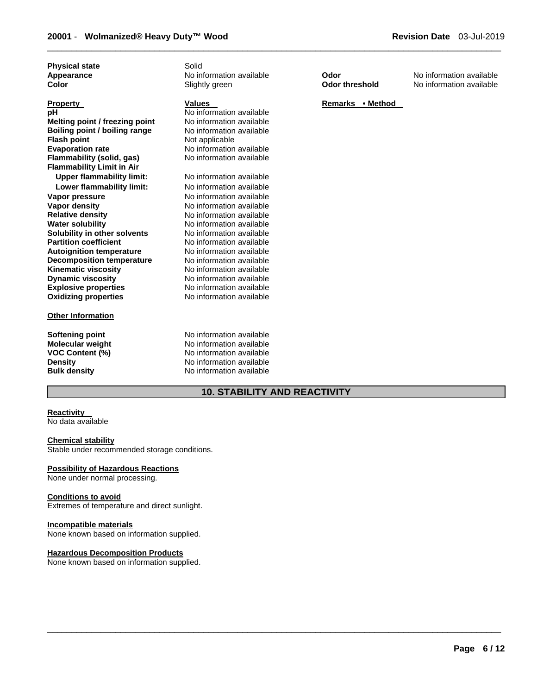**Physical state Solid** 

#### **Other Information**

\_\_\_\_\_\_\_\_\_\_\_\_\_\_\_\_\_\_\_\_\_\_\_\_\_\_\_\_\_\_\_\_\_\_\_\_\_\_\_\_\_\_\_\_\_\_\_\_\_\_\_\_\_\_\_\_\_\_\_\_\_\_\_\_\_\_\_\_\_\_\_\_\_\_\_\_\_\_\_\_\_\_\_\_\_\_\_\_\_\_\_\_\_

**No information available Melting point / freezing point** No information available **No information available Not applicable No information available Flammability (solid, gas)** No information available

**Upper flammability limit:** No information available **Lower flammability limit:** No information available **No information available No information available Relative density** No information available **No information available No information available No information available No information available No information available No information available Dynamic viscosity** No information available **Explosive properties** No information available **Oxidizing properties** No information available

**Softening point 1996 CONTER INCORDING Monet Control Monet Monet Monet Monet Monet Monet Monet Control Monet Monet Monet Monet Monet Monet Monet Monet Monet Monet Monet Monet Monet Monet Monet Monet Monet Monet Monet Monet Molecular weight <br>VOC Content (%) <br>No information available<br>Note:** No information available **VOC Content (%) No information available**<br> **Density No information available Density Density Density No information available Bulk density No information available No information available** 

### **10. STABILITY AND REACTIVITY**

 $\overline{\phantom{a}}$  , and the set of the set of the set of the set of the set of the set of the set of the set of the set of the set of the set of the set of the set of the set of the set of the set of the set of the set of the s

# **Reactivity**

No data available

#### **Chemical stability**

Stable under recommended storage conditions.

#### **Possibility of Hazardous Reactions**

None under normal processing.

#### **Conditions to avoid**

Extremes of temperature and direct sunlight.

#### **Incompatible materials**

None known based on information supplied.

#### **Hazardous Decomposition Products**

None known based on information supplied.

**Appearance No information available <b>Color No information available Color Color No information available Color No** information available **Color Color No** information available **No information available** 

#### **Property Values Property Remarks • Method**

# **Page 6 / 12**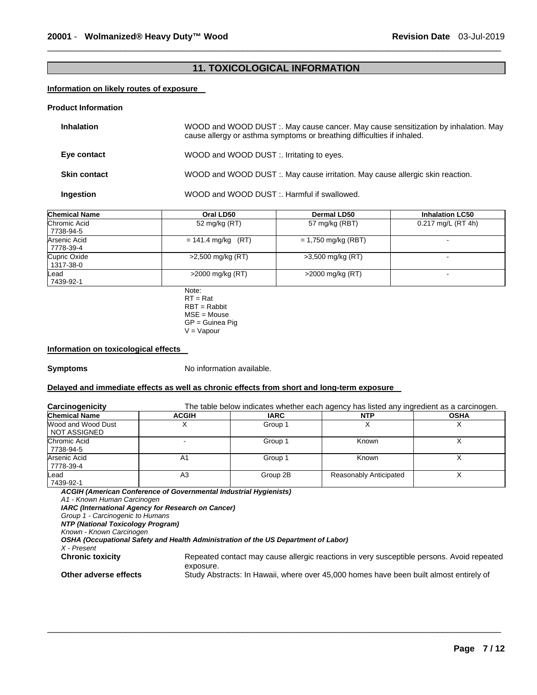## **11. TOXICOLOGICAL INFORMATION**

\_\_\_\_\_\_\_\_\_\_\_\_\_\_\_\_\_\_\_\_\_\_\_\_\_\_\_\_\_\_\_\_\_\_\_\_\_\_\_\_\_\_\_\_\_\_\_\_\_\_\_\_\_\_\_\_\_\_\_\_\_\_\_\_\_\_\_\_\_\_\_\_\_\_\_\_\_\_\_\_\_\_\_\_\_\_\_\_\_\_\_\_\_

#### **Information on likely routes of exposure**

#### **Product Information**

| <b>Inhalation</b>   | WOOD and WOOD DUST :. May cause cancer. May cause sensitization by inhalation. May<br>cause allergy or asthma symptoms or breathing difficulties if inhaled. |
|---------------------|--------------------------------------------------------------------------------------------------------------------------------------------------------------|
| Eye contact         | WOOD and WOOD DUST :. Irritating to eyes.                                                                                                                    |
| <b>Skin contact</b> | WOOD and WOOD DUST :. May cause irritation. May cause allergic skin reaction.                                                                                |
| Ingestion           | WOOD and WOOD DUST :. Harmful if swallowed.                                                                                                                  |

| <b>Chemical Name</b>      | Oral LD50            | <b>Dermal LD50</b>    | <b>Inhalation LC50</b> |
|---------------------------|----------------------|-----------------------|------------------------|
| Chromic Acid<br>7738-94-5 | 52 mg/kg (RT)        | 57 mg/kg (RBT)        | $0.217$ mg/L (RT 4h)   |
| Arsenic Acid<br>7778-39-4 | $= 141.4$ mg/kg (RT) | $= 1,750$ mg/kg (RBT) | -                      |
| Cupric Oxide<br>1317-38-0 | >2,500 mg/kg (RT)    | >3,500 mg/kg (RT)     |                        |
| Lead<br>7439-92-1         | $>2000$ mg/kg (RT)   | $>2000$ mg/kg (RT)    | $\,$                   |

Note: RT = Rat RBT = Rabbit MSE = Mouse GP = Guinea Pig V = Vapour

#### **Information on toxicological effects**

**Symptoms** No information available.

#### **Delayed and immediate effects as well as chronic effects from short and long-term exposure**

| <b>Carcinogenicity</b>                                            |              |          | The table below indicates whether each agency has listed any ingredient as a carcinogen. |             |
|-------------------------------------------------------------------|--------------|----------|------------------------------------------------------------------------------------------|-------------|
| <b>Chemical Name</b>                                              | <b>ACGIH</b> | IARC     | NTP                                                                                      | <b>OSHA</b> |
| Wood and Wood Dust<br>NOT ASSIGNED                                |              | Group 1  |                                                                                          |             |
| Chromic Acid<br>7738-94-5                                         |              | Group 1  | Known                                                                                    |             |
| Arsenic Acid<br>7778-39-4                                         | A1           | Group 1  | Known                                                                                    |             |
| Lead<br>7439-92-1                                                 | A3           | Group 2B | <b>Reasonably Anticipated</b>                                                            |             |
| ACGIH (American Conference of Governmental Industrial Hygienists) |              |          |                                                                                          |             |

 $\overline{\phantom{a}}$  , and the set of the set of the set of the set of the set of the set of the set of the set of the set of the set of the set of the set of the set of the set of the set of the set of the set of the set of the s

*ACGIH (American Conference of Governmental Industrial Hygienists) A1 - Known Human Carcinogen* 

*IARC (International Agency for Research on Cancer)*

*Group 1 - Carcinogenic to Humans* 

*NTP (National Toxicology Program)*

*Known - Known Carcinogen* 

*OSHA (Occupational Safety and Health Administration of the US Department of Labor)*

*X - Present* 

Repeated contact may cause allergic reactions in very susceptible persons. Avoid repeated exposure.

**Other adverse effects** Study Abstracts: In Hawaii, where over 45,000 homes have been built almost entirely of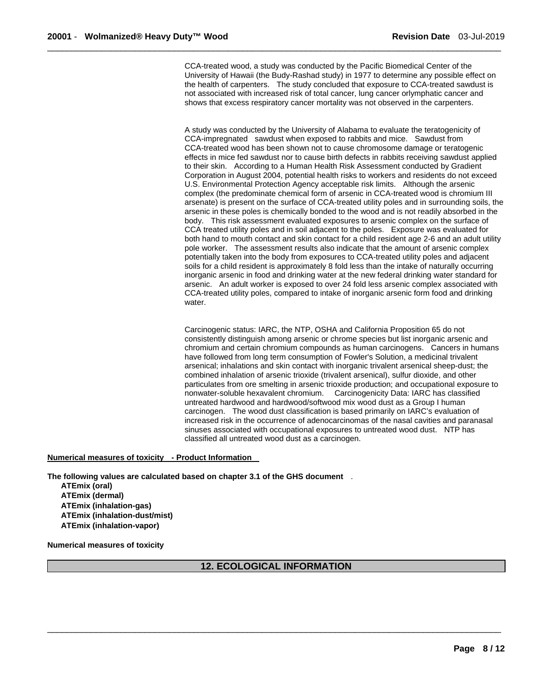CCA-treated wood, a study was conducted by the Pacific Biomedical Center of the University of Hawaii (the Budy-Rashad study) in 1977 to determine any possible effect on the health of carpenters. The study concluded that exposure to CCA-treated sawdust is not associated with increased risk of total cancer, lung cancer orlymphatic cancer and shows that excess respiratory cancer mortality was not observed in the carpenters.

\_\_\_\_\_\_\_\_\_\_\_\_\_\_\_\_\_\_\_\_\_\_\_\_\_\_\_\_\_\_\_\_\_\_\_\_\_\_\_\_\_\_\_\_\_\_\_\_\_\_\_\_\_\_\_\_\_\_\_\_\_\_\_\_\_\_\_\_\_\_\_\_\_\_\_\_\_\_\_\_\_\_\_\_\_\_\_\_\_\_\_\_\_

A study was conducted by the University of Alabama to evaluate the teratogenicity of CCA-impregnated sawdust when exposed to rabbits and mice. Sawdust from CCA-treated wood has been shown not to cause chromosome damage or teratogenic effects in mice fed sawdust nor to cause birth defects in rabbits receiving sawdust applied to their skin. According to a Human Health Risk Assessment conducted by Gradient Corporation in August 2004, potential health risks to workers and residents do not exceed U.S. Environmental Protection Agency acceptable risk limits. Although the arsenic complex (the predominate chemical form of arsenic in CCA-treated wood is chromium III arsenate) is present on the surface of CCA-treated utility poles and in surrounding soils, the arsenic in these poles is chemically bonded to the wood and is not readily absorbed in the body. This risk assessment evaluated exposures to arsenic complex on the surface of CCA treated utility poles and in soil adjacent to the poles. Exposure was evaluated for both hand to mouth contact and skin contact for a child resident age 2-6 and an adult utility pole worker. The assessment results also indicate that the amount of arsenic complex potentially taken into the body from exposures to CCA-treated utility poles and adjacent soils for a child resident is approximately 8 fold less than the intake of naturally occurring inorganic arsenic in food and drinking water at the new federal drinking water standard for arsenic. An adult worker is exposed to over 24 fold less arsenic complex associated with CCA-treated utility poles, compared to intake of inorganic arsenic form food and drinking water.

Carcinogenic status: IARC, the NTP, OSHA and California Proposition 65 do not consistently distinguish among arsenic or chrome species but list inorganic arsenic and chromium and certain chromium compounds as human carcinogens. Cancers in humans have followed from long term consumption of Fowler's Solution, a medicinal trivalent arsenical; inhalations and skin contact with inorganic trivalent arsenical sheep-dust; the combined inhalation of arsenic trioxide (trivalent arsenical), sulfur dioxide, and other particulates from ore smelting in arsenic trioxide production; and occupational exposure to nonwater-soluble hexavalent chromium. Carcinogenicity Data: IARC has classified untreated hardwood and hardwood/softwood mix wood dust as a Group I human carcinogen. The wood dust classification is based primarily on IARC's evaluation of increased risk in the occurrence of adenocarcinomas of the nasal cavities and paranasal sinuses associated with occupational exposures to untreated wood dust. NTP has classified all untreated wood dust as a carcinogen.

### **Numerical measures of toxicity - Product Information**

**The following values are calculated based on chapter 3.1 of the GHS document** . **ATEmix (oral) ATEmix (dermal) ATEmix (inhalation-gas) ATEmix (inhalation-dust/mist) ATEmix (inhalation-vapor)** 

**Numerical measures of toxicity** 

#### **12. ECOLOGICAL INFORMATION**

 $\overline{\phantom{a}}$  , and the set of the set of the set of the set of the set of the set of the set of the set of the set of the set of the set of the set of the set of the set of the set of the set of the set of the set of the s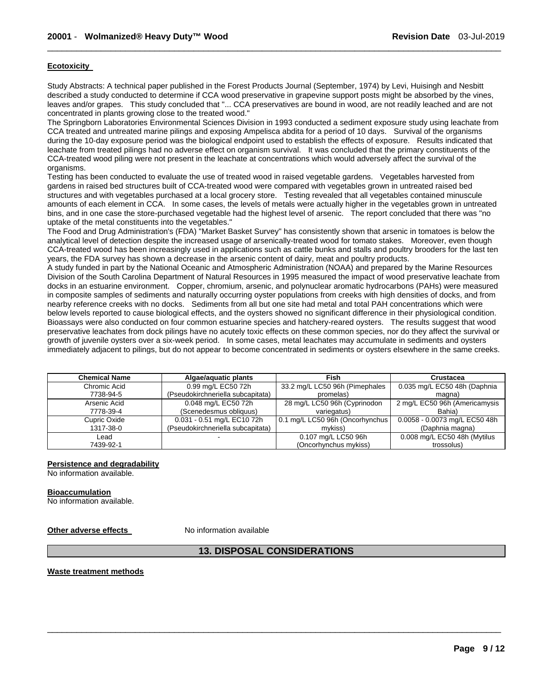#### **Ecotoxicity**

Study Abstracts: A technical paper published in the Forest Products Journal (September, 1974) by Levi, Huisingh and Nesbitt described a study conducted to determine if CCA wood preservative in grapevine support posts might be absorbed by the vines, leaves and/or grapes. This study concluded that "... CCA preservatives are bound in wood, are not readily leached and are not concentrated in plants growing close to the treated wood."

\_\_\_\_\_\_\_\_\_\_\_\_\_\_\_\_\_\_\_\_\_\_\_\_\_\_\_\_\_\_\_\_\_\_\_\_\_\_\_\_\_\_\_\_\_\_\_\_\_\_\_\_\_\_\_\_\_\_\_\_\_\_\_\_\_\_\_\_\_\_\_\_\_\_\_\_\_\_\_\_\_\_\_\_\_\_\_\_\_\_\_\_\_

The Springborn Laboratories Environmental Sciences Division in 1993 conducted a sediment exposure study using leachate from CCA treated and untreated marine pilings and exposing Ampelisca abdita for a period of 10 days. Survival of the organisms during the 10-day exposure period was the biological endpoint used to establish the effects of exposure. Results indicated that leachate from treated pilings had no adverse effect on organism survival. It was concluded that the primary constituents of the CCA-treated wood piling were not present in the leachate at concentrations which would adversely affect the survival of the organisms.

Testing has been conducted to evaluate the use of treated wood in raised vegetable gardens. Vegetables harvested from gardens in raised bed structures built of CCA-treated wood were compared with vegetables grown in untreated raised bed structures and with vegetables purchased at a local grocery store. Testing revealed that all vegetables contained minuscule amounts of each element in CCA. In some cases, the levels of metals were actually higher in the vegetables grown in untreated bins, and in one case the store-purchased vegetable had the highest level of arsenic. The report concluded that there was "no uptake of the metal constituents into the vegetables."

The Food and Drug Administration's (FDA) "Market Basket Survey" has consistently shown that arsenic in tomatoes is below the analytical level of detection despite the increased usage of arsenically-treated wood for tomato stakes. Moreover, even though CCA-treated wood has been increasingly used in applications such as cattle bunks and stalls and poultry brooders for the last ten years, the FDA survey has shown a decrease in the arsenic content of dairy, meat and poultry products.

A study funded in part by the National Oceanic and Atmospheric Administration (NOAA) and prepared by the Marine Resources Division of the South Carolina Department of Natural Resources in 1995 measured the impact of wood preservative leachate from docks in an estuarine environment. Copper, chromium, arsenic, and polynuclear aromatic hydrocarbons (PAHs) were measured in composite samples of sediments and naturally occurring oyster populations from creeks with high densities of docks, and from nearby reference creeks with no docks. Sediments from all but one site had metal and total PAH concentrations which were below levels reported to cause biological effects, and the oysters showed no significant difference in their physiological condition. Bioassays were also conducted on four common estuarine species and hatchery-reared oysters. The results suggest that wood preservative leachates from dock pilings have no acutely toxic effects on these common species, nor do they affect the survival or growth of juvenile oysters over a six-week period. In some cases, metal leachates may accumulate in sediments and oysters immediately adjacent to pilings, but do not appear to become concentrated in sediments or oysters elsewhere in the same creeks.

| <b>Chemical Name</b> | Algae/aguatic plants              | Fish                            | Crustacea                     |
|----------------------|-----------------------------------|---------------------------------|-------------------------------|
| Chromic Acid         | 0.99 mg/L EC50 72h                | 33.2 mg/L LC50 96h (Pimephales  | 0.035 mg/L EC50 48h (Daphnia  |
| 7738-94-5            | (Pseudokirchneriella subcapitata) | promelas)                       | magna)                        |
| Arsenic Acid         | 0.048 mg/L EC50 72h               | 28 mg/L LC50 96h (Cyprinodon    | 2 mg/L EC50 96h (Americamysis |
| 7778-39-4            | (Scenedesmus obliquus)            | variegatus)                     | Bahia)                        |
| Cupric Oxide         | 0.031 - 0.51 mg/L EC10 72h        | 0.1 mg/L LC50 96h (Oncorhynchus | 0.0058 - 0.0073 mg/L EC50 48h |
| 1317-38-0            | (Pseudokirchneriella subcapitata) | mvkiss)                         | (Daphnia magna)               |
| Lead                 |                                   | 0.107 mg/L LC50 96h             | 0.008 mg/L EC50 48h (Mytilus  |
| 7439-92-1            |                                   | (Oncorhynchus mykiss)           | trossolus)                    |

#### **Persistence and degradability**

No information available.

#### **Bioaccumulation**

No information available.

**Other adverse effects** No information available

#### **13. DISPOSAL CONSIDERATIONS**

 $\overline{\phantom{a}}$  , and the set of the set of the set of the set of the set of the set of the set of the set of the set of the set of the set of the set of the set of the set of the set of the set of the set of the set of the s

**Waste treatment methods**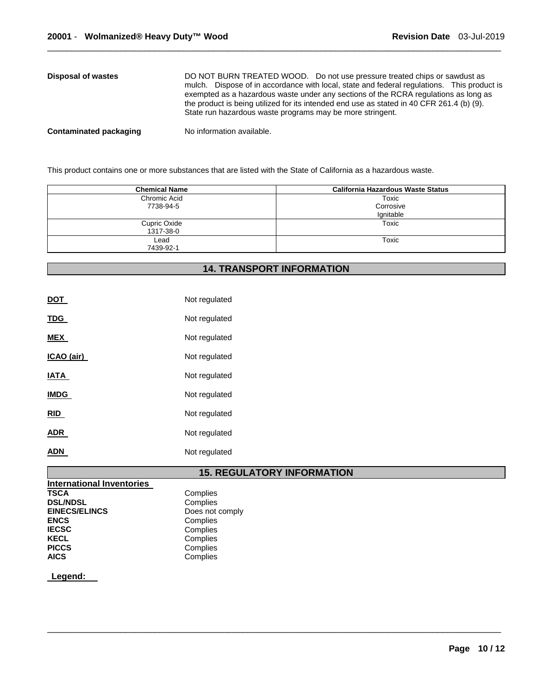| Disposal of wastes            | DO NOT BURN TREATED WOOD. Do not use pressure treated chips or sawdust as<br>mulch. Dispose of in accordance with local, state and federal regulations. This product is<br>exempted as a hazardous waste under any sections of the RCRA regulations as long as<br>the product is being utilized for its intended end use as stated in 40 CFR 261.4 (b) (9).<br>State run hazardous waste programs may be more stringent. |
|-------------------------------|--------------------------------------------------------------------------------------------------------------------------------------------------------------------------------------------------------------------------------------------------------------------------------------------------------------------------------------------------------------------------------------------------------------------------|
| <b>Contaminated packaging</b> | No information available.                                                                                                                                                                                                                                                                                                                                                                                                |

This product contains one or more substances that are listed with the State of California as a hazardous waste.

| <b>Chemical Name</b> | California Hazardous Waste Status |
|----------------------|-----------------------------------|
| Chromic Acid         | Toxic                             |
| 7738-94-5            | Corrosive                         |
|                      | lgnitable                         |
| Cupric Oxide         | Toxic                             |
| 1317-38-0            |                                   |
| Lead                 | Toxic                             |
| 7439-92-1            |                                   |

# **14. TRANSPORT INFORMATION**

| <b>DOT</b>  | Not regulated |
|-------------|---------------|
| <u>TDG</u>  | Not regulated |
| <b>MEX</b>  | Not regulated |
| ICAO (air)  | Not regulated |
| IATA        | Not regulated |
| <b>IMDG</b> | Not regulated |
| <b>RID</b>  | Not regulated |
| <b>ADR</b>  | Not regulated |
| ADN         | Not regulated |

# **15. REGULATORY INFORMATION**

 $\overline{\phantom{a}}$  , and the set of the set of the set of the set of the set of the set of the set of the set of the set of the set of the set of the set of the set of the set of the set of the set of the set of the set of the s

| <b>International Inventories</b> |                 |
|----------------------------------|-----------------|
| <b>TSCA</b>                      | Complies        |
| <b>DSL/NDSL</b>                  | Complies        |
| <b>EINECS/ELINCS</b>             | Does not comply |
| <b>ENCS</b>                      | Complies        |
| <b>IECSC</b>                     | Complies        |
| <b>KECL</b>                      | Complies        |
| <b>PICCS</b>                     | Complies        |
| <b>AICS</b>                      | Complies        |

**Legend:**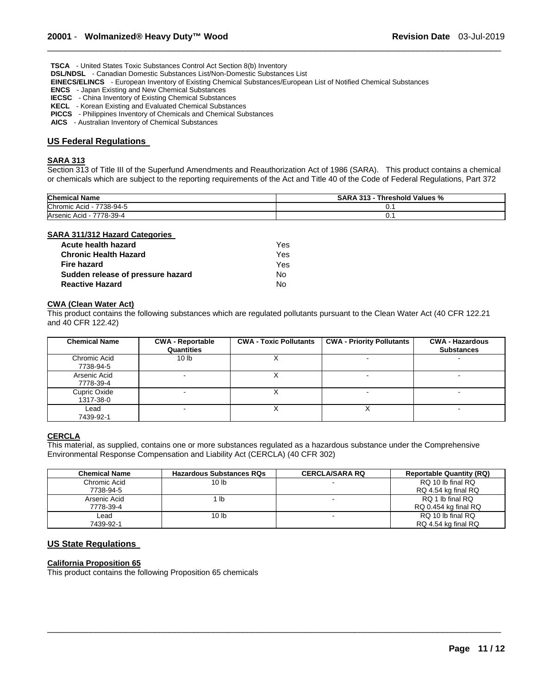**TSCA** - United States Toxic Substances Control Act Section 8(b) Inventory

**DSL/NDSL** - Canadian Domestic Substances List/Non-Domestic Substances List

**EINECS/ELINCS** - European Inventory of Existing Chemical Substances/European List of Notified Chemical Substances

**ENCS** - Japan Existing and New Chemical Substances

- **IECSC**  China Inventory of Existing Chemical Substances
- **KECL**  Korean Existing and Evaluated Chemical Substances
- **PICCS**  Philippines Inventory of Chemicals and Chemical Substances
- **AICS**  Australian Inventory of Chemical Substances

#### **US Federal Regulations**

#### **SARA 313**

Section 313 of Title III of the Superfund Amendments and Reauthorization Act of 1986 (SARA). This product contains a chemical or chemicals which are subject to the reporting requirements of the Act and Title 40 of the Code of Federal Regulations, Part 372

\_\_\_\_\_\_\_\_\_\_\_\_\_\_\_\_\_\_\_\_\_\_\_\_\_\_\_\_\_\_\_\_\_\_\_\_\_\_\_\_\_\_\_\_\_\_\_\_\_\_\_\_\_\_\_\_\_\_\_\_\_\_\_\_\_\_\_\_\_\_\_\_\_\_\_\_\_\_\_\_\_\_\_\_\_\_\_\_\_\_\_\_\_

| <b>Chemical Name</b>          | <b>SARA 313 -</b><br>Threshold Values % |
|-------------------------------|-----------------------------------------|
| Chromic Acid -<br>7738-94-5   | v.                                      |
| 7778-39-4<br>Arsenic Acid - 7 | v.                                      |

#### **SARA 311/312 Hazard Categories**

| Acute health hazard               | Yes. |
|-----------------------------------|------|
| <b>Chronic Health Hazard</b>      | Yes. |
| <b>Fire hazard</b>                | Yes  |
| Sudden release of pressure hazard | N٥   |
| <b>Reactive Hazard</b>            | N٥   |

#### **CWA (Clean Water Act)**

This product contains the following substances which are regulated pollutants pursuant to the Clean Water Act (40 CFR 122.21 and 40 CFR 122.42)

| <b>Chemical Name</b>      | <b>CWA - Reportable</b><br>Quantities | <b>CWA - Toxic Pollutants</b> | <b>CWA - Priority Pollutants</b> | <b>CWA - Hazardous</b><br><b>Substances</b> |
|---------------------------|---------------------------------------|-------------------------------|----------------------------------|---------------------------------------------|
| Chromic Acid<br>7738-94-5 | 10 <sub>lb</sub>                      |                               |                                  |                                             |
| Arsenic Acid<br>7778-39-4 |                                       |                               |                                  |                                             |
| Cupric Oxide<br>1317-38-0 |                                       |                               |                                  |                                             |
| Lead<br>7439-92-1         | -                                     |                               | ∧                                |                                             |

#### **CERCLA**

This material, as supplied, contains one or more substances regulated as a hazardous substance under the Comprehensive Environmental Response Compensation and Liability Act (CERCLA) (40 CFR 302)

| <b>Chemical Name</b> | <b>Hazardous Substances RQs</b> | <b>CERCLA/SARA RQ</b> | <b>Reportable Quantity (RQ)</b> |
|----------------------|---------------------------------|-----------------------|---------------------------------|
| Chromic Acid         | 10 <sub>h</sub>                 |                       | RQ 10 lb final RQ               |
| 7738-94-5            |                                 |                       | RQ 4.54 kg final RQ             |
| Arsenic Acid         | 1 lb                            |                       | RO 1 lb final RO                |
| 7778-39-4            |                                 |                       | RQ 0.454 kg final RQ            |
| ∟ead                 | 10 <sub>h</sub>                 |                       | RQ 10 lb final RQ               |
| 7439-92-1            |                                 |                       | RQ 4.54 kg final RQ             |

 $\overline{\phantom{a}}$  , and the set of the set of the set of the set of the set of the set of the set of the set of the set of the set of the set of the set of the set of the set of the set of the set of the set of the set of the s

#### **US State Regulations**

#### **California Proposition 65**

This product contains the following Proposition 65 chemicals